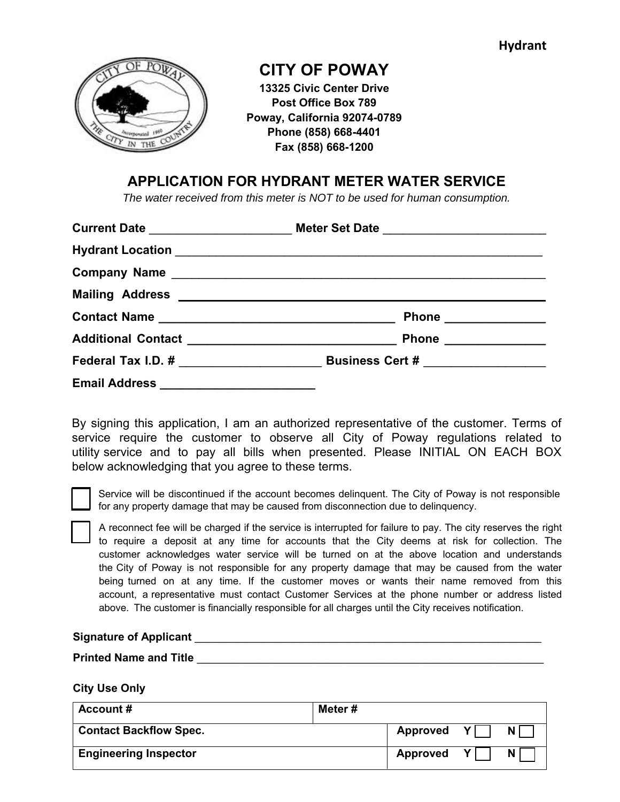

# **CITY OF POWAY**

**13325 Civic Center Drive Post Office Box 789 Poway, California 92074-0789 Phone (858) 668-4401 Fax (858) 668-1200**

# **APPLICATION FOR HYDRANT METER WATER SERVICE**

*The water received from this meter is NOT to be used for human consumption.* 

|                                        | Phone ______________  |
|----------------------------------------|-----------------------|
|                                        | Phone _______________ |
|                                        |                       |
| Email Address ________________________ |                       |

By signing this application, I am an authorized representative of the customer. Terms of service require the customer to observe all City of Poway regulations related to utility service and to pay all bills when presented. Please INITIAL ON EACH BOX below acknowledging that you agree to these terms.

Service will be discontinued if the account becomes delinquent. The City of Poway is not responsible for any property damage that may be caused from disconnection due to delinquency.

A reconnect fee will be charged if the service is interrupted for failure to pay. The city reserves the right to require a deposit at any time for accounts that the City deems at risk for collection. The customer acknowledges water service will be turned on at the above location and understands the City of Poway is not responsible for any property damage that may be caused from the water being turned on at any time. If the customer moves or wants their name removed from this account, a representative must contact Customer Services at the phone number or address listed above. The customer is financially responsible for all charges until the City receives notification.

#### Signature of Applicant **All Accord Accord Accord Accord Accord Accord Accord Accord Accord Accord Accord Accord Accord Accord Accord Accord Accord Accord Accord Accord Accord Accord Accord Accord Accord Accord Accord Accor**

**Printed Name and Title Letter and State 200 and 200 and 200 and 200 and 200 and 200 and 200 and 200 and 200 and 200 and 200 and 200 and 200 and 200 and 200 and 200 and 200 and 200 and 200 and 200 and 200 and 200 and 200** 

#### **City Use Only**

| Account#                      | Meter # |            |    |     |
|-------------------------------|---------|------------|----|-----|
| <b>Contact Backflow Spec.</b> |         | Approved Y |    | N I |
| <b>Engineering Inspector</b>  |         | Approved   | ΥI | N I |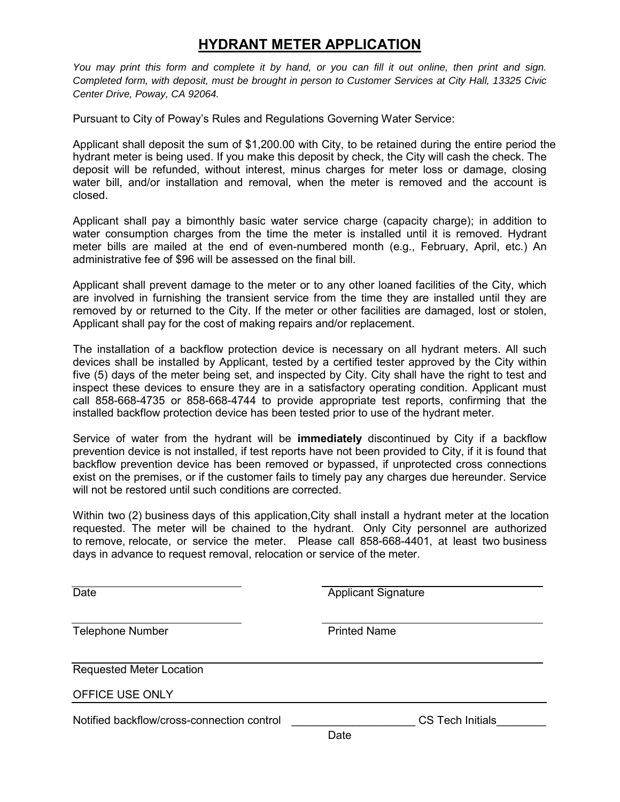# **HYDRANT METER APPLICATION**

*You may print this form and complete it by hand, or you can fill it out online, then print and sign. Completed form, with deposit, must be brought in person to Customer Services at City Hall, 13325 Civic Center Drive, Poway, CA 92064.* 

Pursuant to City of Poway's Rules and Regulations Governing Water Service:

Applicant shall deposit the sum of \$1,200.00 with City, to be retained during the entire period the hydrant meter is being used. If you make this deposit by check, the City will cash the check. The deposit will be refunded, without interest, minus charges for meter loss or damage, closing water bill, and/or installation and removal, when the meter is removed and the account is closed.

Applicant shall pay a bimonthly basic water service charge (capacity charge); in addition to water consumption charges from the time the meter is installed until it is removed. Hydrant meter bills are mailed at the end of even-numbered month (e.g., February, April, etc.) An administrative fee of \$96 will be assessed on the final bill.

Applicant shall prevent damage to the meter or to any other loaned facilities of the City, which are involved in furnishing the transient service from the time they are installed until they are removed by or returned to the City. If the meter or other facilities are damaged, lost or stolen, Applicant shall pay for the cost of making repairs and/or replacement.

The installation of a backflow protection device is necessary on all hydrant meters. All such devices shall be installed by Applicant, tested by a certified tester approved by the City within five (5) days of the meter being set, and inspected by City. City shall have the right to test and inspect these devices to ensure they are in a satisfactory operating condition. Applicant must call 858-668-4735 or 858-668-4744 to provide appropriate test reports, confirming that the installed backflow protection device has been tested prior to use of the hydrant meter.

Service of water from the hydrant will be **immediately** discontinued by City if a backflow prevention device is not installed, if test reports have not been provided to City, if it is found that backflow prevention device has been removed or bypassed, if unprotected cross connections exist on the premises, or if the customer fails to timely pay any charges due hereunder. Service will not be restored until such conditions are corrected.

Within two (2) business days of this application,City shall install a hydrant meter at the location requested. The meter will be chained to the hydrant. Only City personnel are authorized to remove, relocate, or service the meter. Please call 858-668-4401, at least two business days in advance to request removal, relocation or service of the meter.

Date **Date Contract Contract Contract Contract Contract Contract Contract Contract Contract Contract Contract Contract Contract Contract Contract Contract Contract Contract Contract Contract Contract Contract Contract Co** 

Telephone Number **Printed Name** 

Requested Meter Location

OFFICE USE ONLY

Notified backflow/cross-connection control entrol entrol control control control control control control control